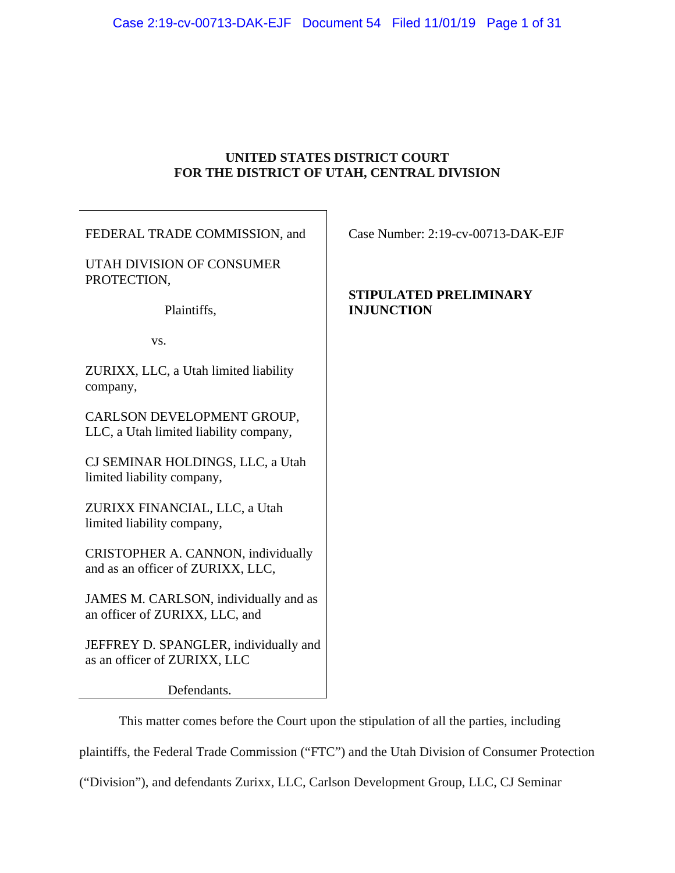# **UNITED STATES DISTRICT COURT FOR THE DISTRICT OF UTAH, CENTRAL DIVISION**

| FEDERAL TRADE COMMISSION, and                                           | Case Number: 2:19-cv-00713-DAK-EJF |
|-------------------------------------------------------------------------|------------------------------------|
| UTAH DIVISION OF CONSUMER<br>PROTECTION,                                | STIPULATED PRELIMINARY             |
| Plaintiffs,                                                             | <b>INJUNCTION</b>                  |
| VS.                                                                     |                                    |
| ZURIXX, LLC, a Utah limited liability<br>company,                       |                                    |
| CARLSON DEVELOPMENT GROUP,<br>LLC, a Utah limited liability company,    |                                    |
| CJ SEMINAR HOLDINGS, LLC, a Utah<br>limited liability company,          |                                    |
| ZURIXX FINANCIAL, LLC, a Utah<br>limited liability company,             |                                    |
| CRISTOPHER A. CANNON, individually<br>and as an officer of ZURIXX, LLC, |                                    |
| JAMES M. CARLSON, individually and as<br>an officer of ZURIXX, LLC, and |                                    |
| JEFFREY D. SPANGLER, individually and<br>as an officer of ZURIXX, LLC   |                                    |
| Defendants.                                                             |                                    |

This matter comes before the Court upon the stipulation of all the parties, including plaintiffs, the Federal Trade Commission ("FTC") and the Utah Division of Consumer Protection

("Division"), and defendants Zurixx, LLC, Carlson Development Group, LLC, CJ Seminar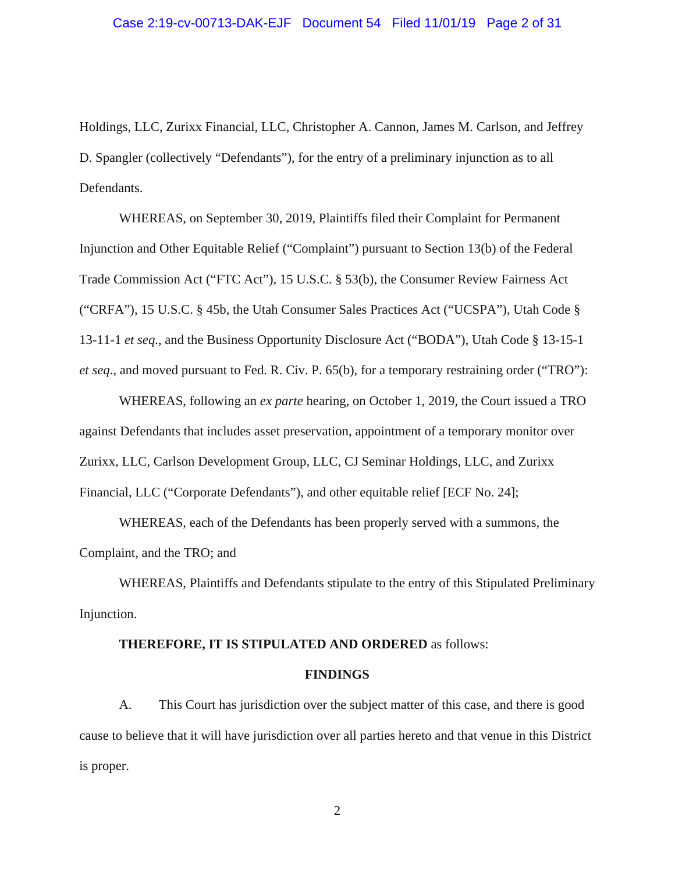### Case 2:19-cv-00713-DAK-EJF Document 54 Filed 11/01/19 Page 2 of 31

Holdings, LLC, Zurixx Financial, LLC, Christopher A. Cannon, James M. Carlson, and Jeffrey D. Spangler (collectively "Defendants"), for the entry of a preliminary injunction as to all Defendants.

WHEREAS, on September 30, 2019, Plaintiffs filed their Complaint for Permanent Injunction and Other Equitable Relief ("Complaint") pursuant to Section 13(b) of the Federal Trade Commission Act ("FTC Act"), 15 U.S.C. § 53(b), the Consumer Review Fairness Act ("CRFA"), 15 U.S.C. § 45b, the Utah Consumer Sales Practices Act ("UCSPA"), Utah Code § 13-11-1 *et seq*., and the Business Opportunity Disclosure Act ("BODA"), Utah Code § 13-15-1 *et seq*., and moved pursuant to Fed. R. Civ. P. 65(b), for a temporary restraining order ("TRO"):

WHEREAS, following an *ex parte* hearing, on October 1, 2019, the Court issued a TRO against Defendants that includes asset preservation, appointment of a temporary monitor over Zurixx, LLC, Carlson Development Group, LLC, CJ Seminar Holdings, LLC, and Zurixx Financial, LLC ("Corporate Defendants"), and other equitable relief [ECF No. 24];

WHEREAS, each of the Defendants has been properly served with a summons, the Complaint, and the TRO; and

WHEREAS, Plaintiffs and Defendants stipulate to the entry of this Stipulated Preliminary Injunction.

## **THEREFORE, IT IS STIPULATED AND ORDERED** as follows:

### **FINDINGS**

A. This Court has jurisdiction over the subject matter of this case, and there is good cause to believe that it will have jurisdiction over all parties hereto and that venue in this District is proper.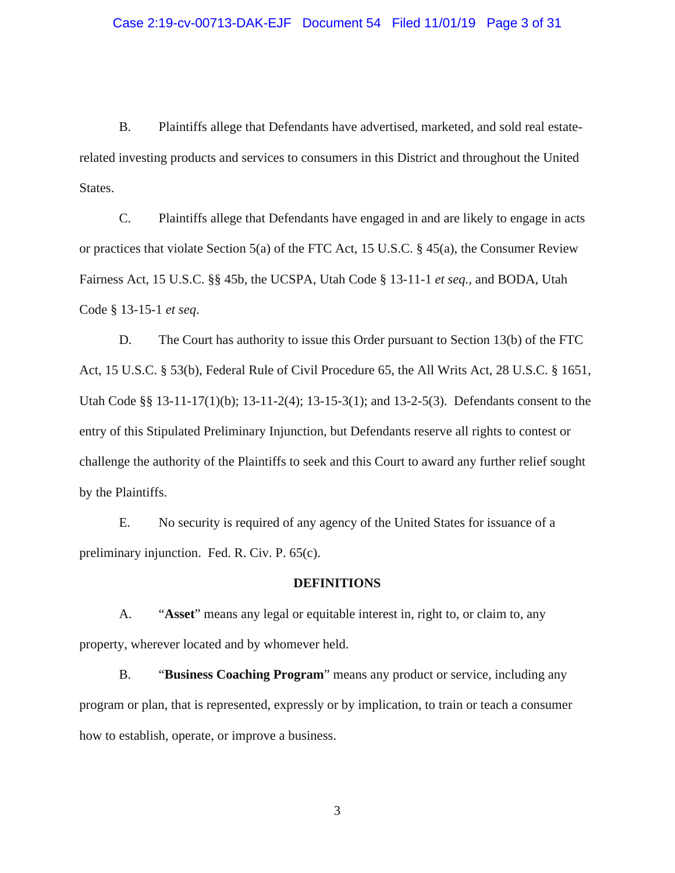### Case 2:19-cv-00713-DAK-EJF Document 54 Filed 11/01/19 Page 3 of 31

B. Plaintiffs allege that Defendants have advertised, marketed, and sold real estaterelated investing products and services to consumers in this District and throughout the United States.

C. Plaintiffs allege that Defendants have engaged in and are likely to engage in acts or practices that violate Section 5(a) of the FTC Act, 15 U.S.C. § 45(a), the Consumer Review Fairness Act, 15 U.S.C. §§ 45b, the UCSPA, Utah Code § 13-11-1 *et seq.*, and BODA, Utah Code § 13-15-1 *et seq*.

D. The Court has authority to issue this Order pursuant to Section 13(b) of the FTC Act, 15 U.S.C. § 53(b), Federal Rule of Civil Procedure 65, the All Writs Act, 28 U.S.C. § 1651, Utah Code §§ 13-11-17(1)(b); 13-11-2(4); 13-15-3(1); and 13-2-5(3). Defendants consent to the entry of this Stipulated Preliminary Injunction, but Defendants reserve all rights to contest or challenge the authority of the Plaintiffs to seek and this Court to award any further relief sought by the Plaintiffs.

E. No security is required of any agency of the United States for issuance of a preliminary injunction. Fed. R. Civ. P. 65(c).

## **DEFINITIONS**

A. "**Asset**" means any legal or equitable interest in, right to, or claim to, any property, wherever located and by whomever held.

B. "**Business Coaching Program**" means any product or service, including any program or plan, that is represented, expressly or by implication, to train or teach a consumer how to establish, operate, or improve a business.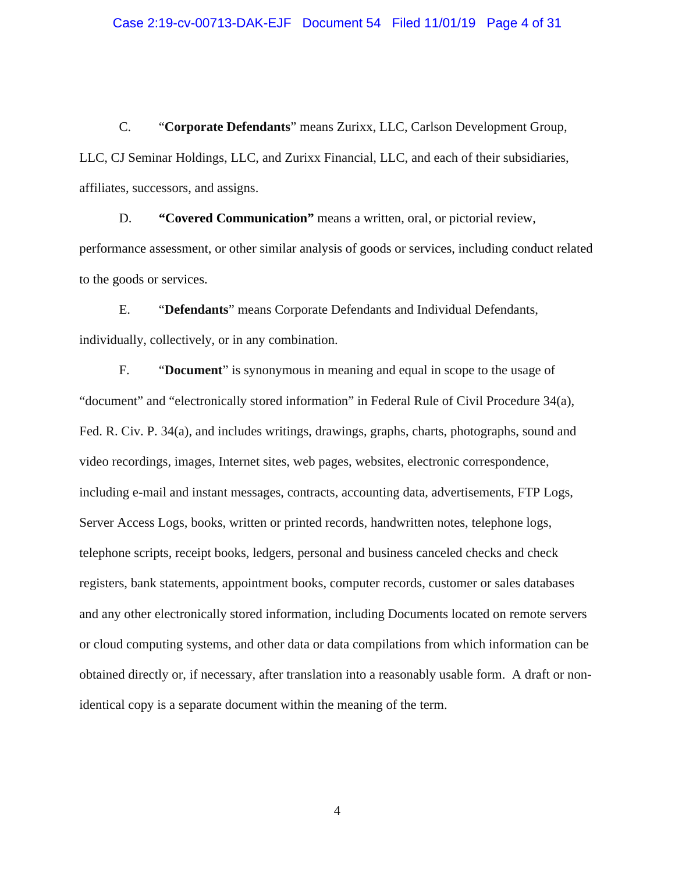C. "**Corporate Defendants**" means Zurixx, LLC, Carlson Development Group, LLC, CJ Seminar Holdings, LLC, and Zurixx Financial, LLC, and each of their subsidiaries, affiliates, successors, and assigns.

D. **"Covered Communication"** means a written, oral, or pictorial review, performance assessment, or other similar analysis of goods or services, including conduct related to the goods or services.

E. "**Defendants**" means Corporate Defendants and Individual Defendants, individually, collectively, or in any combination.

F. "**Document**" is synonymous in meaning and equal in scope to the usage of "document" and "electronically stored information" in Federal Rule of Civil Procedure 34(a), Fed. R. Civ. P. 34(a), and includes writings, drawings, graphs, charts, photographs, sound and video recordings, images, Internet sites, web pages, websites, electronic correspondence, including e-mail and instant messages, contracts, accounting data, advertisements, FTP Logs, Server Access Logs, books, written or printed records, handwritten notes, telephone logs, telephone scripts, receipt books, ledgers, personal and business canceled checks and check registers, bank statements, appointment books, computer records, customer or sales databases and any other electronically stored information, including Documents located on remote servers or cloud computing systems, and other data or data compilations from which information can be obtained directly or, if necessary, after translation into a reasonably usable form. A draft or nonidentical copy is a separate document within the meaning of the term.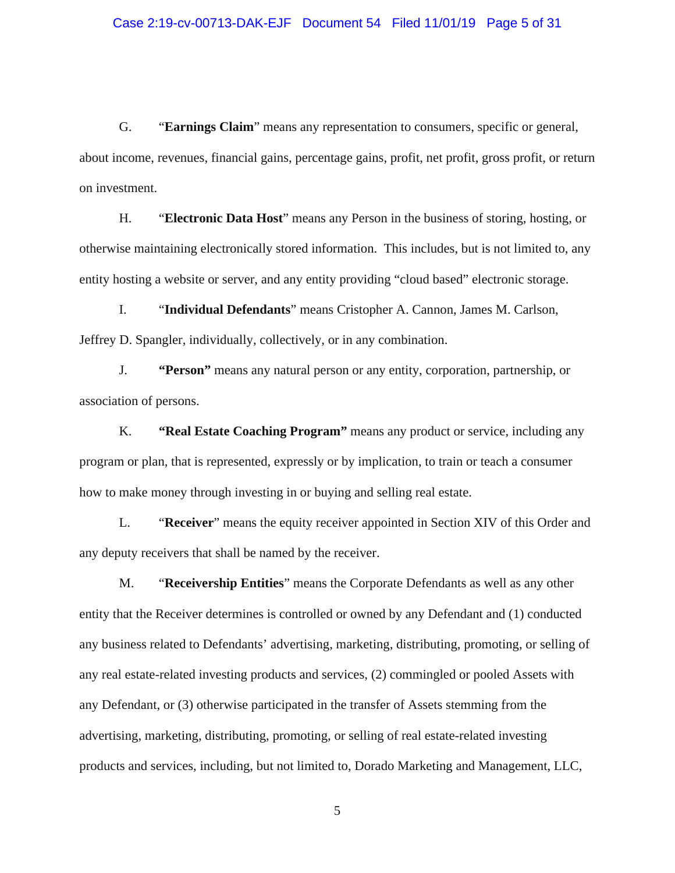### Case 2:19-cv-00713-DAK-EJF Document 54 Filed 11/01/19 Page 5 of 31

G. "**Earnings Claim**" means any representation to consumers, specific or general, about income, revenues, financial gains, percentage gains, profit, net profit, gross profit, or return on investment.

H. "**Electronic Data Host**" means any Person in the business of storing, hosting, or otherwise maintaining electronically stored information. This includes, but is not limited to, any entity hosting a website or server, and any entity providing "cloud based" electronic storage.

I. "**Individual Defendants**" means Cristopher A. Cannon, James M. Carlson, Jeffrey D. Spangler, individually, collectively, or in any combination.

J. **"Person"** means any natural person or any entity, corporation, partnership, or association of persons.

K. **"Real Estate Coaching Program"** means any product or service, including any program or plan, that is represented, expressly or by implication, to train or teach a consumer how to make money through investing in or buying and selling real estate.

L. "**Receiver**" means the equity receiver appointed in Section XIV of this Order and any deputy receivers that shall be named by the receiver.

M. "**Receivership Entities**" means the Corporate Defendants as well as any other entity that the Receiver determines is controlled or owned by any Defendant and (1) conducted any business related to Defendants' advertising, marketing, distributing, promoting, or selling of any real estate-related investing products and services, (2) commingled or pooled Assets with any Defendant, or (3) otherwise participated in the transfer of Assets stemming from the advertising, marketing, distributing, promoting, or selling of real estate-related investing products and services, including, but not limited to, Dorado Marketing and Management, LLC,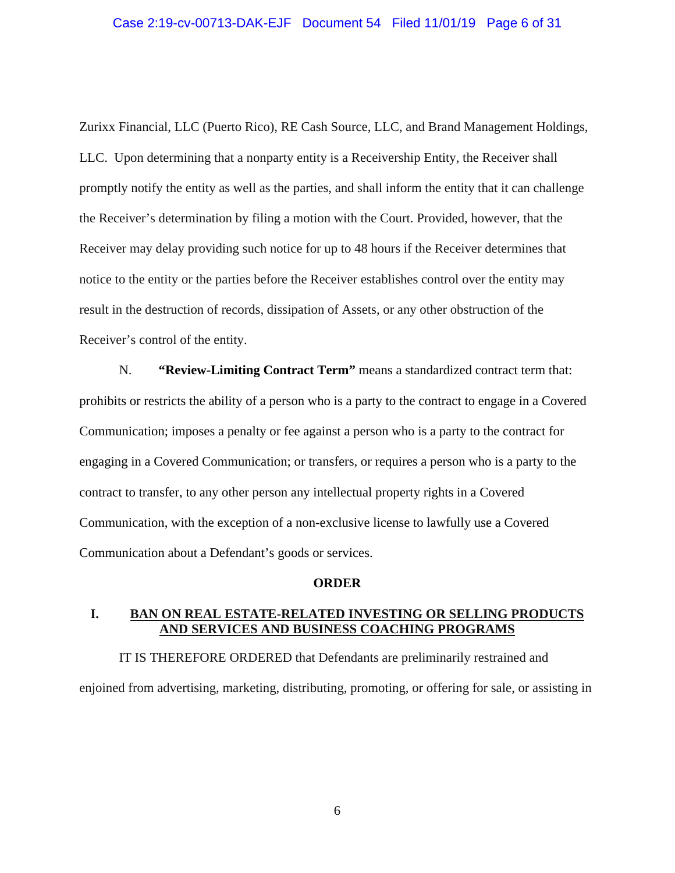### Case 2:19-cv-00713-DAK-EJF Document 54 Filed 11/01/19 Page 6 of 31

Zurixx Financial, LLC (Puerto Rico), RE Cash Source, LLC, and Brand Management Holdings, LLC. Upon determining that a nonparty entity is a Receivership Entity, the Receiver shall promptly notify the entity as well as the parties, and shall inform the entity that it can challenge the Receiver's determination by filing a motion with the Court. Provided, however, that the Receiver may delay providing such notice for up to 48 hours if the Receiver determines that notice to the entity or the parties before the Receiver establishes control over the entity may result in the destruction of records, dissipation of Assets, or any other obstruction of the Receiver's control of the entity.

N. **"Review-Limiting Contract Term"** means a standardized contract term that: prohibits or restricts the ability of a person who is a party to the contract to engage in a Covered Communication; imposes a penalty or fee against a person who is a party to the contract for engaging in a Covered Communication; or transfers, or requires a person who is a party to the contract to transfer, to any other person any intellectual property rights in a Covered Communication, with the exception of a non-exclusive license to lawfully use a Covered Communication about a Defendant's goods or services.

## **ORDER**

## **I. BAN ON REAL ESTATE-RELATED INVESTING OR SELLING PRODUCTS AND SERVICES AND BUSINESS COACHING PROGRAMS**

IT IS THEREFORE ORDERED that Defendants are preliminarily restrained and enjoined from advertising, marketing, distributing, promoting, or offering for sale, or assisting in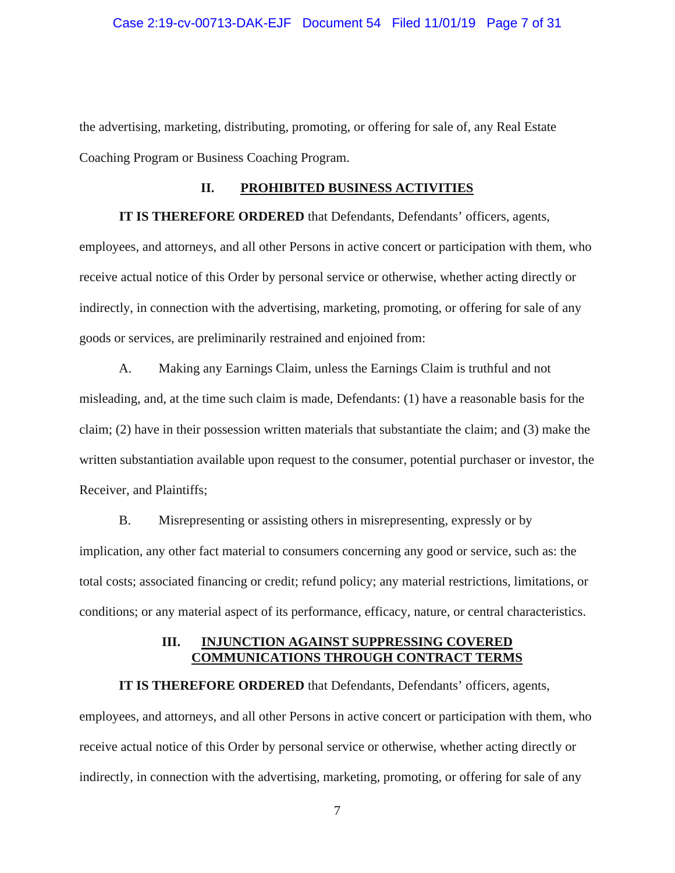#### Case 2:19-cv-00713-DAK-EJF Document 54 Filed 11/01/19 Page 7 of 31

the advertising, marketing, distributing, promoting, or offering for sale of, any Real Estate Coaching Program or Business Coaching Program.

## **II. PROHIBITED BUSINESS ACTIVITIES**

**IT IS THEREFORE ORDERED** that Defendants, Defendants' officers, agents, employees, and attorneys, and all other Persons in active concert or participation with them, who receive actual notice of this Order by personal service or otherwise, whether acting directly or indirectly, in connection with the advertising, marketing, promoting, or offering for sale of any goods or services, are preliminarily restrained and enjoined from:

A. Making any Earnings Claim, unless the Earnings Claim is truthful and not misleading, and, at the time such claim is made, Defendants: (1) have a reasonable basis for the claim; (2) have in their possession written materials that substantiate the claim; and (3) make the written substantiation available upon request to the consumer, potential purchaser or investor, the Receiver, and Plaintiffs;

B. Misrepresenting or assisting others in misrepresenting, expressly or by implication, any other fact material to consumers concerning any good or service, such as: the total costs; associated financing or credit; refund policy; any material restrictions, limitations, or conditions; or any material aspect of its performance, efficacy, nature, or central characteristics.

# **III. INJUNCTION AGAINST SUPPRESSING COVERED COMMUNICATIONS THROUGH CONTRACT TERMS**

**IT IS THEREFORE ORDERED** that Defendants, Defendants' officers, agents, employees, and attorneys, and all other Persons in active concert or participation with them, who receive actual notice of this Order by personal service or otherwise, whether acting directly or indirectly, in connection with the advertising, marketing, promoting, or offering for sale of any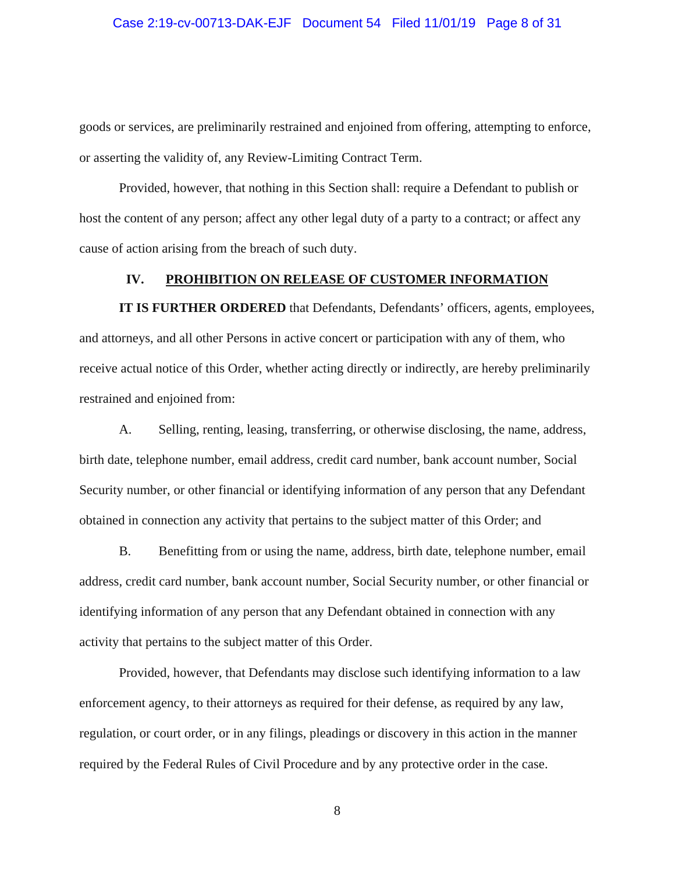### Case 2:19-cv-00713-DAK-EJF Document 54 Filed 11/01/19 Page 8 of 31

goods or services, are preliminarily restrained and enjoined from offering, attempting to enforce, or asserting the validity of, any Review-Limiting Contract Term.

Provided, however, that nothing in this Section shall: require a Defendant to publish or host the content of any person; affect any other legal duty of a party to a contract; or affect any cause of action arising from the breach of such duty.

## **IV. PROHIBITION ON RELEASE OF CUSTOMER INFORMATION**

**IT IS FURTHER ORDERED** that Defendants, Defendants' officers, agents, employees, and attorneys, and all other Persons in active concert or participation with any of them, who receive actual notice of this Order, whether acting directly or indirectly, are hereby preliminarily restrained and enjoined from:

A. Selling, renting, leasing, transferring, or otherwise disclosing, the name, address, birth date, telephone number, email address, credit card number, bank account number, Social Security number, or other financial or identifying information of any person that any Defendant obtained in connection any activity that pertains to the subject matter of this Order; and

B. Benefitting from or using the name, address, birth date, telephone number, email address, credit card number, bank account number, Social Security number, or other financial or identifying information of any person that any Defendant obtained in connection with any activity that pertains to the subject matter of this Order.

Provided, however, that Defendants may disclose such identifying information to a law enforcement agency, to their attorneys as required for their defense, as required by any law, regulation, or court order, or in any filings, pleadings or discovery in this action in the manner required by the Federal Rules of Civil Procedure and by any protective order in the case.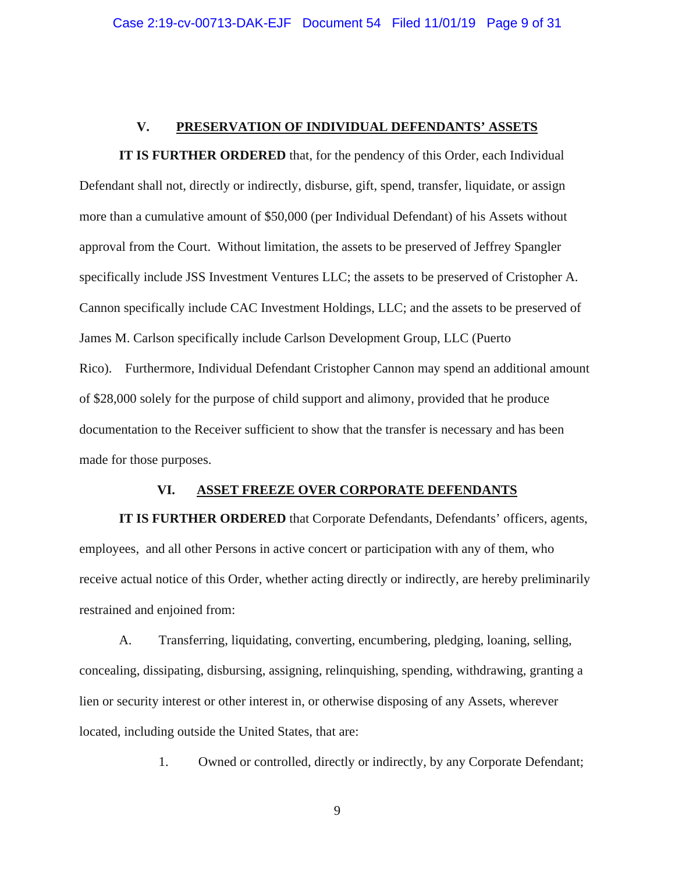## **V. PRESERVATION OF INDIVIDUAL DEFENDANTS' ASSETS**

**IT IS FURTHER ORDERED** that, for the pendency of this Order, each Individual Defendant shall not, directly or indirectly, disburse, gift, spend, transfer, liquidate, or assign more than a cumulative amount of \$50,000 (per Individual Defendant) of his Assets without approval from the Court. Without limitation, the assets to be preserved of Jeffrey Spangler specifically include JSS Investment Ventures LLC; the assets to be preserved of Cristopher A. Cannon specifically include CAC Investment Holdings, LLC; and the assets to be preserved of James M. Carlson specifically include Carlson Development Group, LLC (Puerto Rico). Furthermore, Individual Defendant Cristopher Cannon may spend an additional amount of \$28,000 solely for the purpose of child support and alimony, provided that he produce documentation to the Receiver sufficient to show that the transfer is necessary and has been made for those purposes.

### **VI. ASSET FREEZE OVER CORPORATE DEFENDANTS**

**IT IS FURTHER ORDERED** that Corporate Defendants, Defendants' officers, agents, employees, and all other Persons in active concert or participation with any of them, who receive actual notice of this Order, whether acting directly or indirectly, are hereby preliminarily restrained and enjoined from:

A. Transferring, liquidating, converting, encumbering, pledging, loaning, selling, concealing, dissipating, disbursing, assigning, relinquishing, spending, withdrawing, granting a lien or security interest or other interest in, or otherwise disposing of any Assets, wherever located, including outside the United States, that are:

1. Owned or controlled, directly or indirectly, by any Corporate Defendant;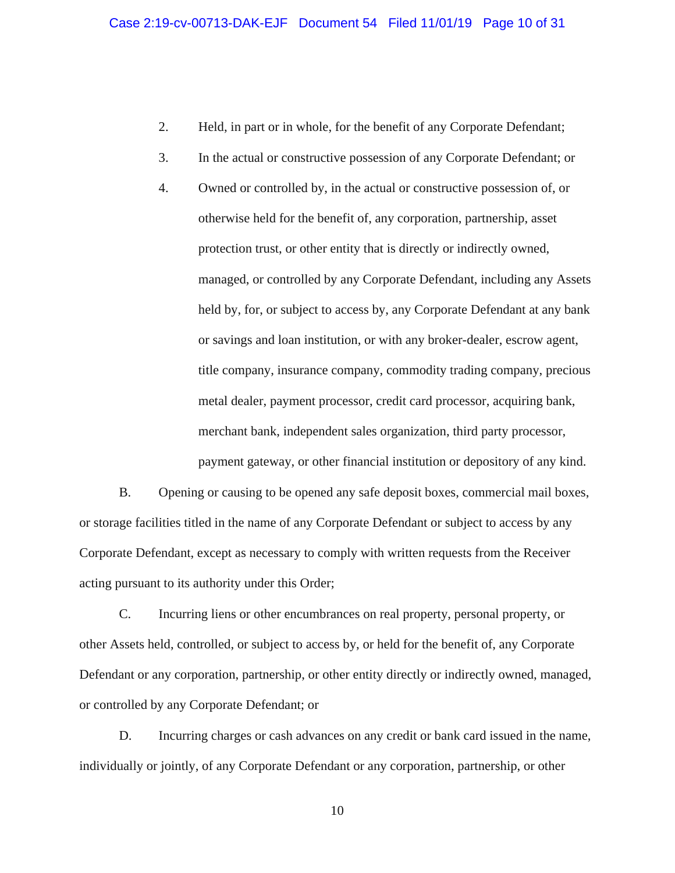- 2. Held, in part or in whole, for the benefit of any Corporate Defendant;
- 3. In the actual or constructive possession of any Corporate Defendant; or
- 4. Owned or controlled by, in the actual or constructive possession of, or otherwise held for the benefit of, any corporation, partnership, asset protection trust, or other entity that is directly or indirectly owned, managed, or controlled by any Corporate Defendant, including any Assets held by, for, or subject to access by, any Corporate Defendant at any bank or savings and loan institution, or with any broker-dealer, escrow agent, title company, insurance company, commodity trading company, precious metal dealer, payment processor, credit card processor, acquiring bank, merchant bank, independent sales organization, third party processor, payment gateway, or other financial institution or depository of any kind.

B. Opening or causing to be opened any safe deposit boxes, commercial mail boxes, or storage facilities titled in the name of any Corporate Defendant or subject to access by any Corporate Defendant, except as necessary to comply with written requests from the Receiver acting pursuant to its authority under this Order;

C. Incurring liens or other encumbrances on real property, personal property, or other Assets held, controlled, or subject to access by, or held for the benefit of, any Corporate Defendant or any corporation, partnership, or other entity directly or indirectly owned, managed, or controlled by any Corporate Defendant; or

D. Incurring charges or cash advances on any credit or bank card issued in the name, individually or jointly, of any Corporate Defendant or any corporation, partnership, or other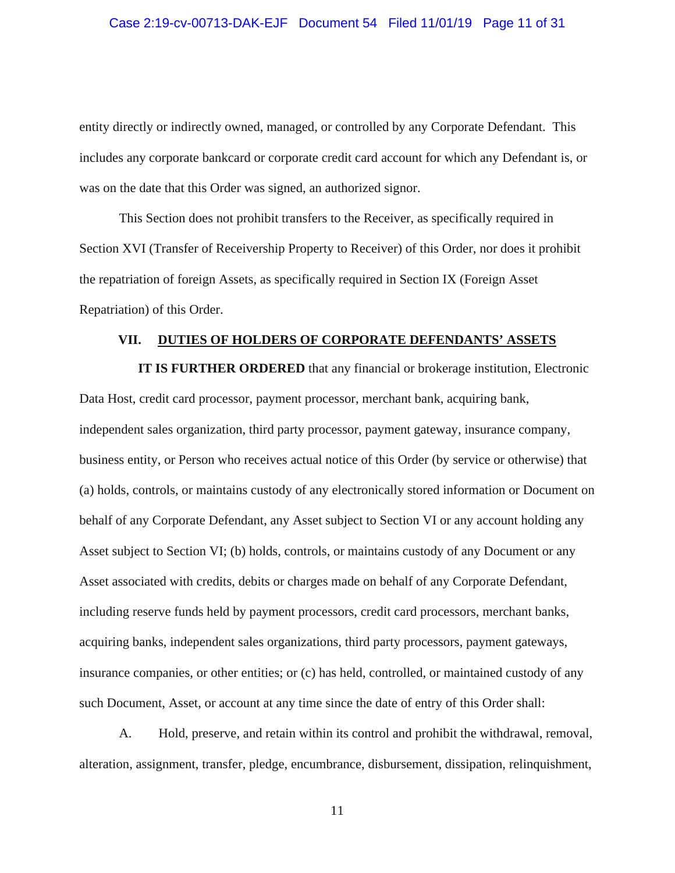# Case 2:19-cv-00713-DAK-EJF Document 54 Filed 11/01/19 Page 11 of 31

entity directly or indirectly owned, managed, or controlled by any Corporate Defendant. This includes any corporate bankcard or corporate credit card account for which any Defendant is, or was on the date that this Order was signed, an authorized signor.

This Section does not prohibit transfers to the Receiver, as specifically required in Section XVI (Transfer of Receivership Property to Receiver) of this Order, nor does it prohibit the repatriation of foreign Assets, as specifically required in Section IX (Foreign Asset Repatriation) of this Order.

### **VII. DUTIES OF HOLDERS OF CORPORATE DEFENDANTS' ASSETS**

**IT IS FURTHER ORDERED** that any financial or brokerage institution, Electronic Data Host, credit card processor, payment processor, merchant bank, acquiring bank, independent sales organization, third party processor, payment gateway, insurance company, business entity, or Person who receives actual notice of this Order (by service or otherwise) that (a) holds, controls, or maintains custody of any electronically stored information or Document on behalf of any Corporate Defendant, any Asset subject to Section VI or any account holding any Asset subject to Section VI; (b) holds, controls, or maintains custody of any Document or any Asset associated with credits, debits or charges made on behalf of any Corporate Defendant, including reserve funds held by payment processors, credit card processors, merchant banks, acquiring banks, independent sales organizations, third party processors, payment gateways, insurance companies, or other entities; or (c) has held, controlled, or maintained custody of any such Document, Asset, or account at any time since the date of entry of this Order shall:

A. Hold, preserve, and retain within its control and prohibit the withdrawal, removal, alteration, assignment, transfer, pledge, encumbrance, disbursement, dissipation, relinquishment,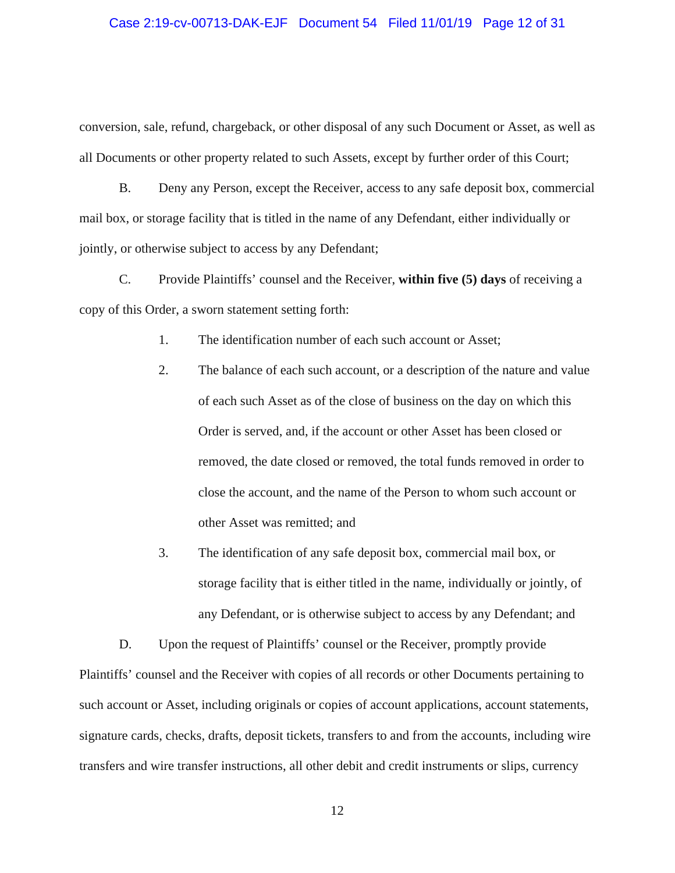### Case 2:19-cv-00713-DAK-EJF Document 54 Filed 11/01/19 Page 12 of 31

conversion, sale, refund, chargeback, or other disposal of any such Document or Asset, as well as all Documents or other property related to such Assets, except by further order of this Court;

B. Deny any Person, except the Receiver, access to any safe deposit box, commercial mail box, or storage facility that is titled in the name of any Defendant, either individually or jointly, or otherwise subject to access by any Defendant;

C. Provide Plaintiffs' counsel and the Receiver, **within five (5) days** of receiving a copy of this Order, a sworn statement setting forth:

1. The identification number of each such account or Asset;

- 2. The balance of each such account, or a description of the nature and value of each such Asset as of the close of business on the day on which this Order is served, and, if the account or other Asset has been closed or removed, the date closed or removed, the total funds removed in order to close the account, and the name of the Person to whom such account or other Asset was remitted; and
- 3. The identification of any safe deposit box, commercial mail box, or storage facility that is either titled in the name, individually or jointly, of any Defendant, or is otherwise subject to access by any Defendant; and

D. Upon the request of Plaintiffs' counsel or the Receiver, promptly provide Plaintiffs' counsel and the Receiver with copies of all records or other Documents pertaining to such account or Asset, including originals or copies of account applications, account statements, signature cards, checks, drafts, deposit tickets, transfers to and from the accounts, including wire transfers and wire transfer instructions, all other debit and credit instruments or slips, currency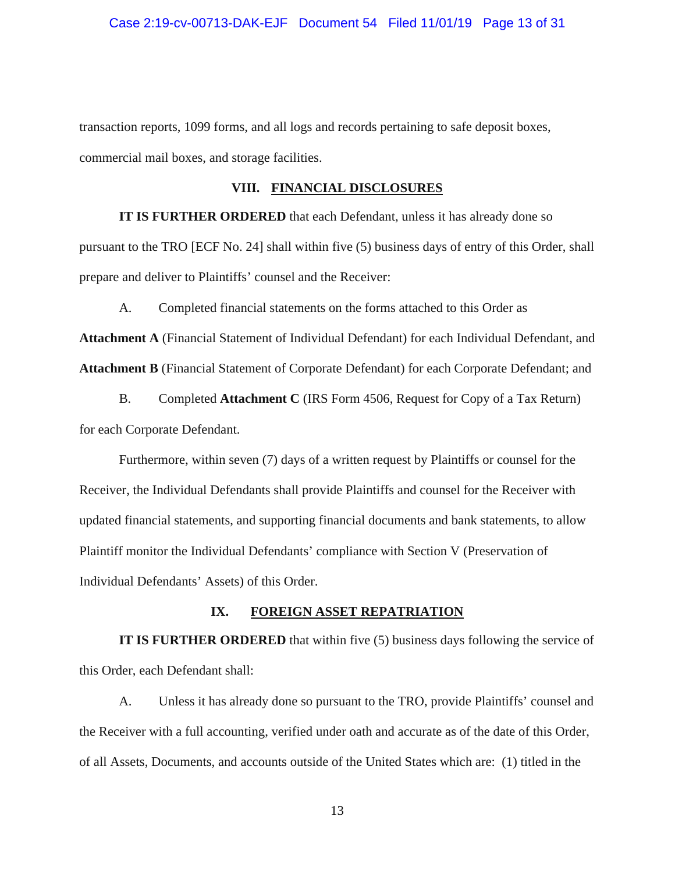#### Case 2:19-cv-00713-DAK-EJF Document 54 Filed 11/01/19 Page 13 of 31

transaction reports, 1099 forms, and all logs and records pertaining to safe deposit boxes, commercial mail boxes, and storage facilities.

## **VIII. FINANCIAL DISCLOSURES**

**IT IS FURTHER ORDERED** that each Defendant, unless it has already done so pursuant to the TRO [ECF No. 24] shall within five (5) business days of entry of this Order, shall prepare and deliver to Plaintiffs' counsel and the Receiver:

A. Completed financial statements on the forms attached to this Order as

**Attachment A** (Financial Statement of Individual Defendant) for each Individual Defendant, and **Attachment B** (Financial Statement of Corporate Defendant) for each Corporate Defendant; and

B. Completed **Attachment C** (IRS Form 4506, Request for Copy of a Tax Return) for each Corporate Defendant.

Furthermore, within seven (7) days of a written request by Plaintiffs or counsel for the Receiver, the Individual Defendants shall provide Plaintiffs and counsel for the Receiver with updated financial statements, and supporting financial documents and bank statements, to allow Plaintiff monitor the Individual Defendants' compliance with Section V (Preservation of Individual Defendants' Assets) of this Order.

### **IX. FOREIGN ASSET REPATRIATION**

**IT IS FURTHER ORDERED** that within five (5) business days following the service of this Order, each Defendant shall:

A. Unless it has already done so pursuant to the TRO, provide Plaintiffs' counsel and the Receiver with a full accounting, verified under oath and accurate as of the date of this Order, of all Assets, Documents, and accounts outside of the United States which are: (1) titled in the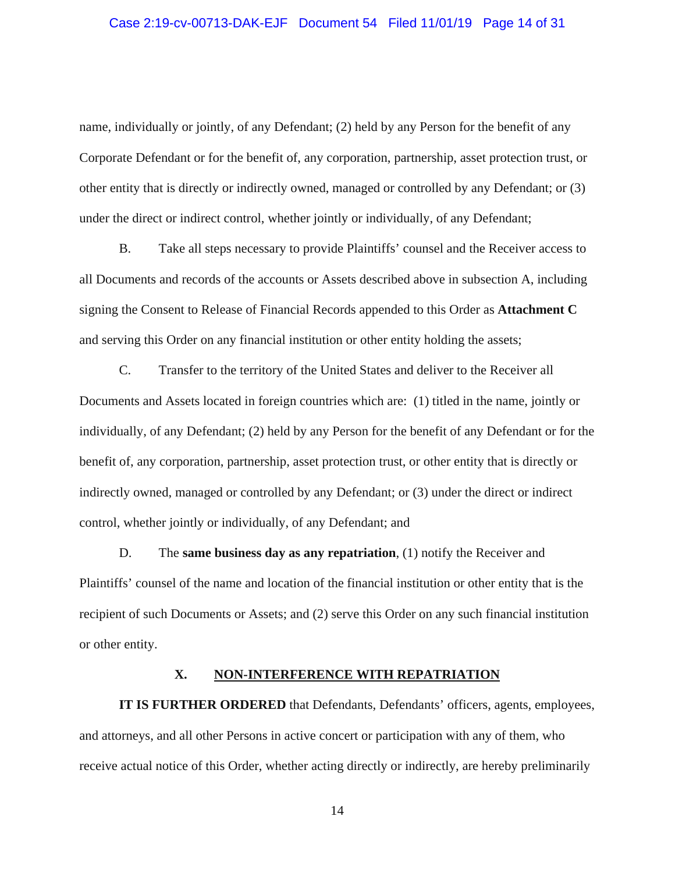# Case 2:19-cv-00713-DAK-EJF Document 54 Filed 11/01/19 Page 14 of 31

name, individually or jointly, of any Defendant; (2) held by any Person for the benefit of any Corporate Defendant or for the benefit of, any corporation, partnership, asset protection trust, or other entity that is directly or indirectly owned, managed or controlled by any Defendant; or (3) under the direct or indirect control, whether jointly or individually, of any Defendant;

B. Take all steps necessary to provide Plaintiffs' counsel and the Receiver access to all Documents and records of the accounts or Assets described above in subsection A, including signing the Consent to Release of Financial Records appended to this Order as **Attachment C**  and serving this Order on any financial institution or other entity holding the assets;

C. Transfer to the territory of the United States and deliver to the Receiver all Documents and Assets located in foreign countries which are: (1) titled in the name, jointly or individually, of any Defendant; (2) held by any Person for the benefit of any Defendant or for the benefit of, any corporation, partnership, asset protection trust, or other entity that is directly or indirectly owned, managed or controlled by any Defendant; or (3) under the direct or indirect control, whether jointly or individually, of any Defendant; and

D. The **same business day as any repatriation**, (1) notify the Receiver and Plaintiffs' counsel of the name and location of the financial institution or other entity that is the recipient of such Documents or Assets; and (2) serve this Order on any such financial institution or other entity.

## **X. NON-INTERFERENCE WITH REPATRIATION**

**IT IS FURTHER ORDERED** that Defendants, Defendants' officers, agents, employees, and attorneys, and all other Persons in active concert or participation with any of them, who receive actual notice of this Order, whether acting directly or indirectly, are hereby preliminarily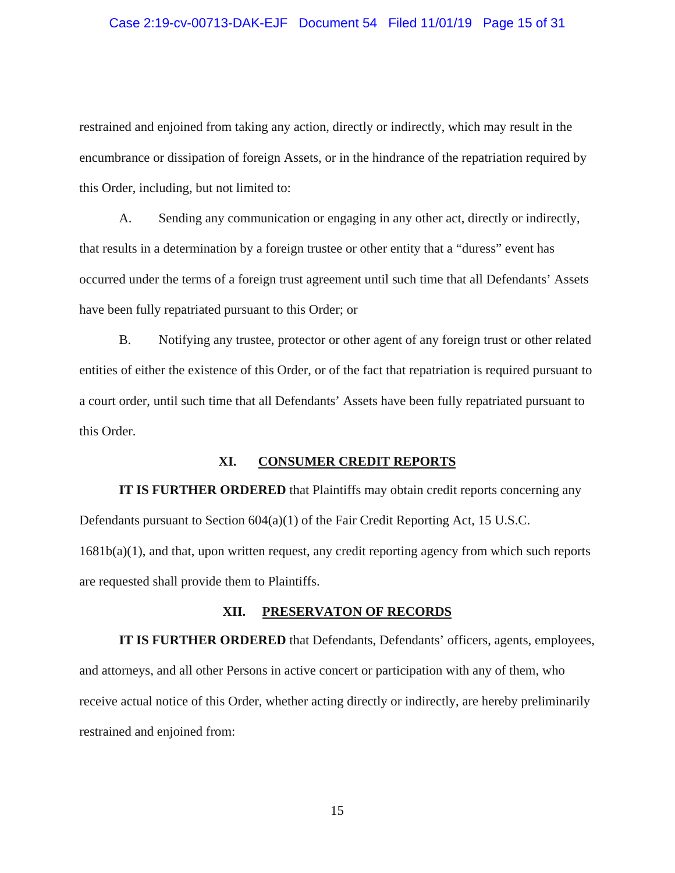#### Case 2:19-cv-00713-DAK-EJF Document 54 Filed 11/01/19 Page 15 of 31

restrained and enjoined from taking any action, directly or indirectly, which may result in the encumbrance or dissipation of foreign Assets, or in the hindrance of the repatriation required by this Order, including, but not limited to:

A. Sending any communication or engaging in any other act, directly or indirectly, that results in a determination by a foreign trustee or other entity that a "duress" event has occurred under the terms of a foreign trust agreement until such time that all Defendants' Assets have been fully repatriated pursuant to this Order; or

B. Notifying any trustee, protector or other agent of any foreign trust or other related entities of either the existence of this Order, or of the fact that repatriation is required pursuant to a court order, until such time that all Defendants' Assets have been fully repatriated pursuant to this Order.

## **XI. CONSUMER CREDIT REPORTS**

**IT IS FURTHER ORDERED** that Plaintiffs may obtain credit reports concerning any Defendants pursuant to Section 604(a)(1) of the Fair Credit Reporting Act, 15 U.S.C. 1681b(a)(1), and that, upon written request, any credit reporting agency from which such reports are requested shall provide them to Plaintiffs.

### **XII. PRESERVATON OF RECORDS**

**IT IS FURTHER ORDERED** that Defendants, Defendants' officers, agents, employees, and attorneys, and all other Persons in active concert or participation with any of them, who receive actual notice of this Order, whether acting directly or indirectly, are hereby preliminarily restrained and enjoined from: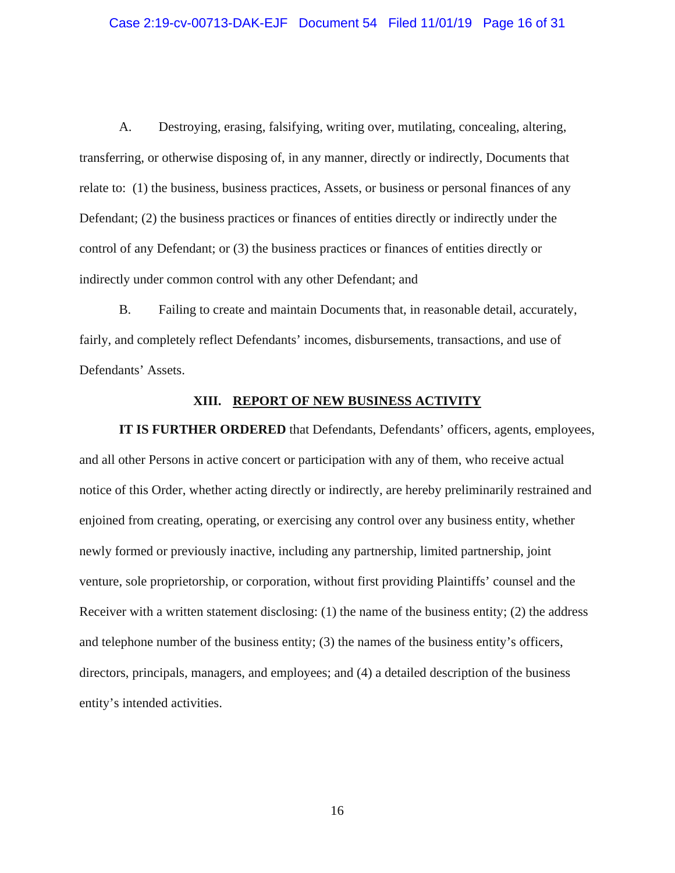# Case 2:19-cv-00713-DAK-EJF Document 54 Filed 11/01/19 Page 16 of 31

A. Destroying, erasing, falsifying, writing over, mutilating, concealing, altering, transferring, or otherwise disposing of, in any manner, directly or indirectly, Documents that relate to: (1) the business, business practices, Assets, or business or personal finances of any Defendant; (2) the business practices or finances of entities directly or indirectly under the control of any Defendant; or (3) the business practices or finances of entities directly or indirectly under common control with any other Defendant; and

B. Failing to create and maintain Documents that, in reasonable detail, accurately, fairly, and completely reflect Defendants' incomes, disbursements, transactions, and use of Defendants' Assets.

## **XIII. REPORT OF NEW BUSINESS ACTIVITY**

**IT IS FURTHER ORDERED** that Defendants, Defendants' officers, agents, employees, and all other Persons in active concert or participation with any of them, who receive actual notice of this Order, whether acting directly or indirectly, are hereby preliminarily restrained and enjoined from creating, operating, or exercising any control over any business entity, whether newly formed or previously inactive, including any partnership, limited partnership, joint venture, sole proprietorship, or corporation, without first providing Plaintiffs' counsel and the Receiver with a written statement disclosing: (1) the name of the business entity; (2) the address and telephone number of the business entity; (3) the names of the business entity's officers, directors, principals, managers, and employees; and (4) a detailed description of the business entity's intended activities.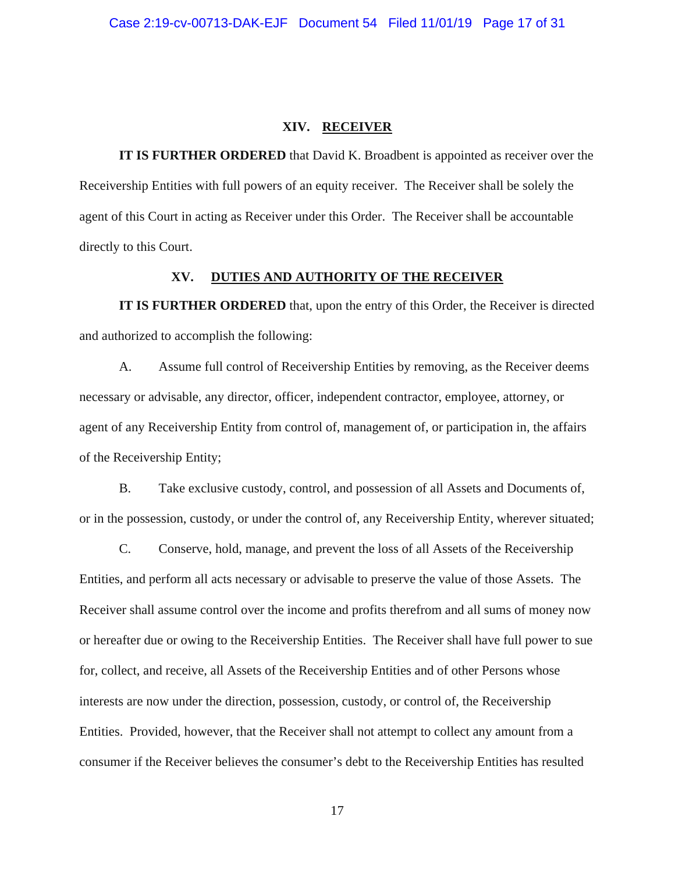### **XIV. RECEIVER**

**IT IS FURTHER ORDERED** that David K. Broadbent is appointed as receiver over the Receivership Entities with full powers of an equity receiver. The Receiver shall be solely the agent of this Court in acting as Receiver under this Order. The Receiver shall be accountable directly to this Court.

## **XV. DUTIES AND AUTHORITY OF THE RECEIVER**

**IT IS FURTHER ORDERED** that, upon the entry of this Order, the Receiver is directed and authorized to accomplish the following:

A. Assume full control of Receivership Entities by removing, as the Receiver deems necessary or advisable, any director, officer, independent contractor, employee, attorney, or agent of any Receivership Entity from control of, management of, or participation in, the affairs of the Receivership Entity;

B. Take exclusive custody, control, and possession of all Assets and Documents of, or in the possession, custody, or under the control of, any Receivership Entity, wherever situated;

C. Conserve, hold, manage, and prevent the loss of all Assets of the Receivership Entities, and perform all acts necessary or advisable to preserve the value of those Assets. The Receiver shall assume control over the income and profits therefrom and all sums of money now or hereafter due or owing to the Receivership Entities. The Receiver shall have full power to sue for, collect, and receive, all Assets of the Receivership Entities and of other Persons whose interests are now under the direction, possession, custody, or control of, the Receivership Entities. Provided, however, that the Receiver shall not attempt to collect any amount from a consumer if the Receiver believes the consumer's debt to the Receivership Entities has resulted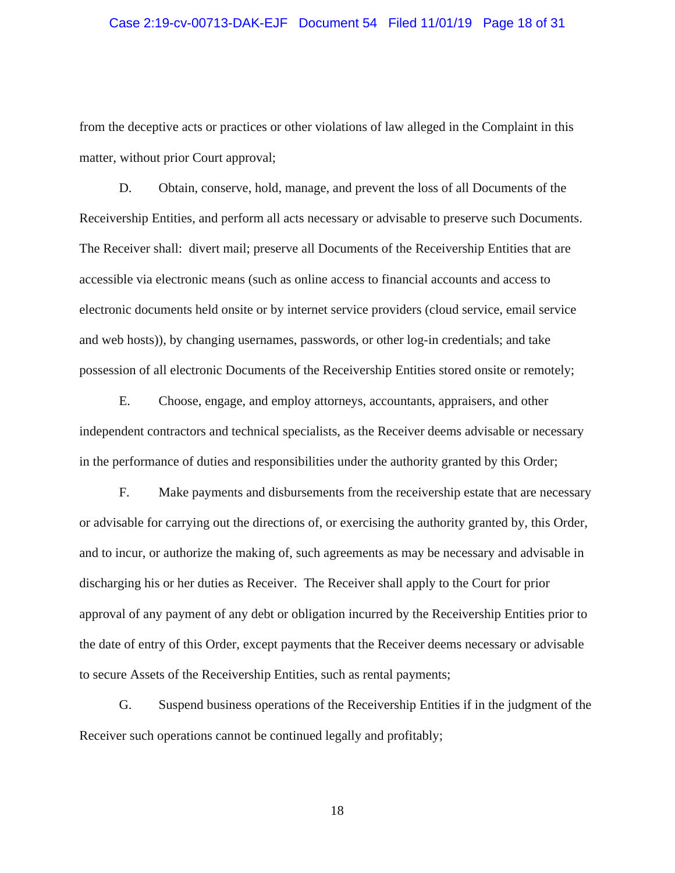### Case 2:19-cv-00713-DAK-EJF Document 54 Filed 11/01/19 Page 18 of 31

from the deceptive acts or practices or other violations of law alleged in the Complaint in this matter, without prior Court approval;

D. Obtain, conserve, hold, manage, and prevent the loss of all Documents of the Receivership Entities, and perform all acts necessary or advisable to preserve such Documents. The Receiver shall: divert mail; preserve all Documents of the Receivership Entities that are accessible via electronic means (such as online access to financial accounts and access to electronic documents held onsite or by internet service providers (cloud service, email service and web hosts)), by changing usernames, passwords, or other log-in credentials; and take possession of all electronic Documents of the Receivership Entities stored onsite or remotely;

E. Choose, engage, and employ attorneys, accountants, appraisers, and other independent contractors and technical specialists, as the Receiver deems advisable or necessary in the performance of duties and responsibilities under the authority granted by this Order;

F. Make payments and disbursements from the receivership estate that are necessary or advisable for carrying out the directions of, or exercising the authority granted by, this Order, and to incur, or authorize the making of, such agreements as may be necessary and advisable in discharging his or her duties as Receiver. The Receiver shall apply to the Court for prior approval of any payment of any debt or obligation incurred by the Receivership Entities prior to the date of entry of this Order, except payments that the Receiver deems necessary or advisable to secure Assets of the Receivership Entities, such as rental payments;

G. Suspend business operations of the Receivership Entities if in the judgment of the Receiver such operations cannot be continued legally and profitably;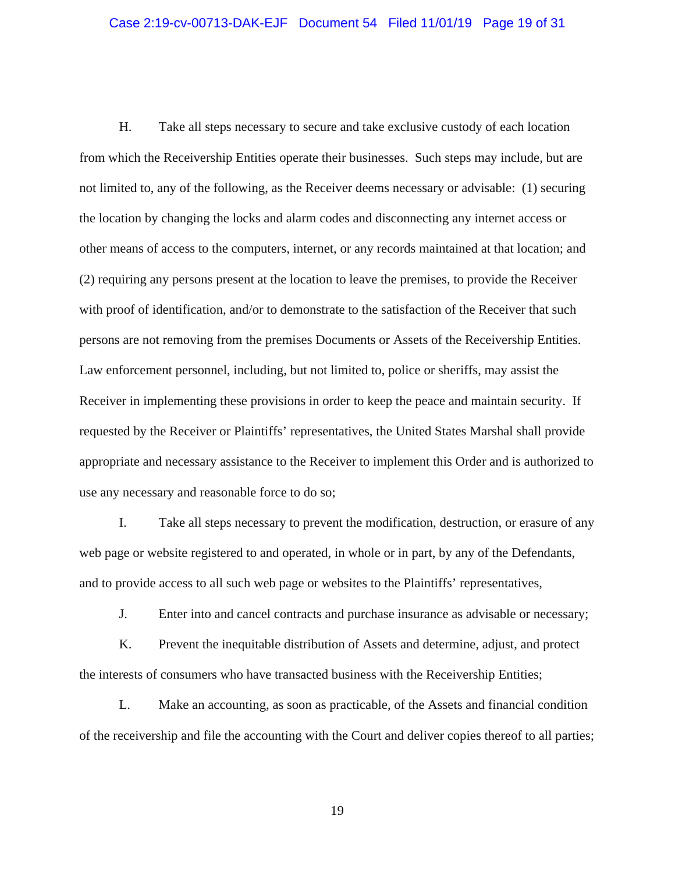### Case 2:19-cv-00713-DAK-EJF Document 54 Filed 11/01/19 Page 19 of 31

H. Take all steps necessary to secure and take exclusive custody of each location from which the Receivership Entities operate their businesses. Such steps may include, but are not limited to, any of the following, as the Receiver deems necessary or advisable: (1) securing the location by changing the locks and alarm codes and disconnecting any internet access or other means of access to the computers, internet, or any records maintained at that location; and (2) requiring any persons present at the location to leave the premises, to provide the Receiver with proof of identification, and/or to demonstrate to the satisfaction of the Receiver that such persons are not removing from the premises Documents or Assets of the Receivership Entities. Law enforcement personnel, including, but not limited to, police or sheriffs, may assist the Receiver in implementing these provisions in order to keep the peace and maintain security. If requested by the Receiver or Plaintiffs' representatives, the United States Marshal shall provide appropriate and necessary assistance to the Receiver to implement this Order and is authorized to use any necessary and reasonable force to do so;

I. Take all steps necessary to prevent the modification, destruction, or erasure of any web page or website registered to and operated, in whole or in part, by any of the Defendants, and to provide access to all such web page or websites to the Plaintiffs' representatives,

J. Enter into and cancel contracts and purchase insurance as advisable or necessary;

K. Prevent the inequitable distribution of Assets and determine, adjust, and protect the interests of consumers who have transacted business with the Receivership Entities;

L. Make an accounting, as soon as practicable, of the Assets and financial condition of the receivership and file the accounting with the Court and deliver copies thereof to all parties;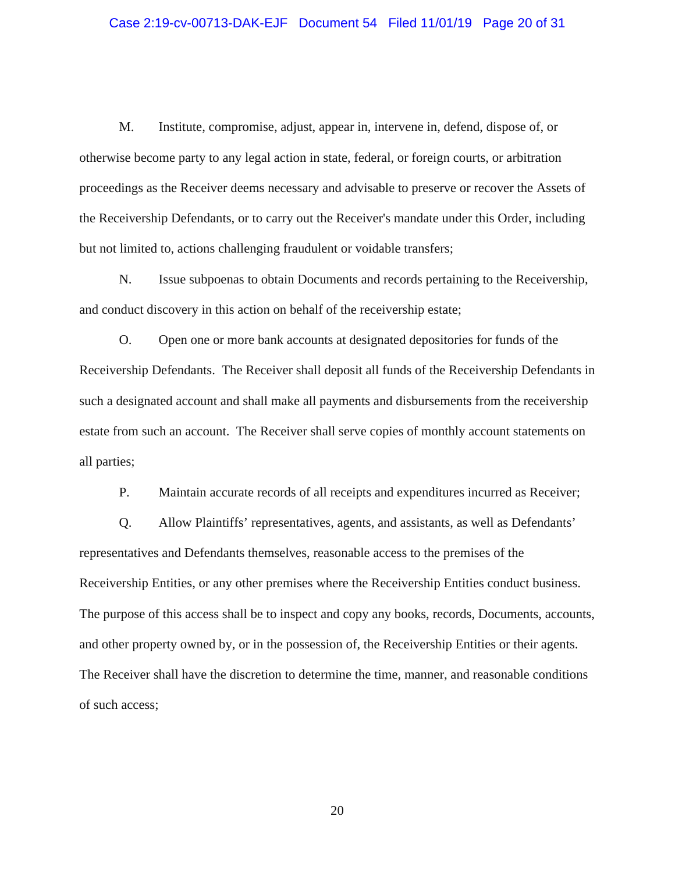### Case 2:19-cv-00713-DAK-EJF Document 54 Filed 11/01/19 Page 20 of 31

M. Institute, compromise, adjust, appear in, intervene in, defend, dispose of, or otherwise become party to any legal action in state, federal, or foreign courts, or arbitration proceedings as the Receiver deems necessary and advisable to preserve or recover the Assets of the Receivership Defendants, or to carry out the Receiver's mandate under this Order, including but not limited to, actions challenging fraudulent or voidable transfers;

N. Issue subpoenas to obtain Documents and records pertaining to the Receivership, and conduct discovery in this action on behalf of the receivership estate;

O. Open one or more bank accounts at designated depositories for funds of the Receivership Defendants. The Receiver shall deposit all funds of the Receivership Defendants in such a designated account and shall make all payments and disbursements from the receivership estate from such an account. The Receiver shall serve copies of monthly account statements on all parties;

P. Maintain accurate records of all receipts and expenditures incurred as Receiver;

Q. Allow Plaintiffs' representatives, agents, and assistants, as well as Defendants' representatives and Defendants themselves, reasonable access to the premises of the Receivership Entities, or any other premises where the Receivership Entities conduct business. The purpose of this access shall be to inspect and copy any books, records, Documents, accounts, and other property owned by, or in the possession of, the Receivership Entities or their agents. The Receiver shall have the discretion to determine the time, manner, and reasonable conditions of such access;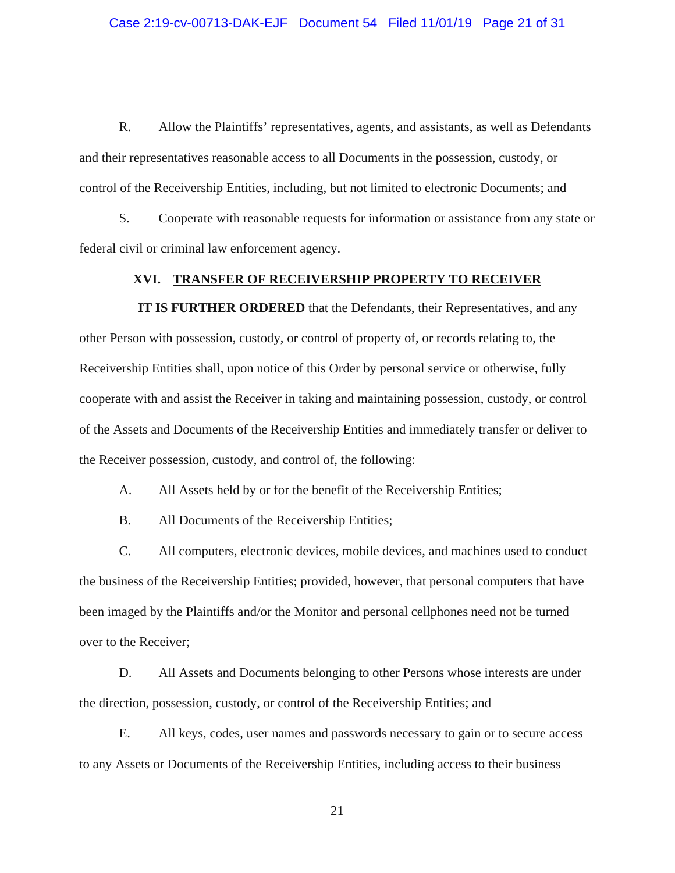R. Allow the Plaintiffs' representatives, agents, and assistants, as well as Defendants and their representatives reasonable access to all Documents in the possession, custody, or control of the Receivership Entities, including, but not limited to electronic Documents; and

S. Cooperate with reasonable requests for information or assistance from any state or federal civil or criminal law enforcement agency.

## **XVI. TRANSFER OF RECEIVERSHIP PROPERTY TO RECEIVER**

**IT IS FURTHER ORDERED** that the Defendants, their Representatives, and any other Person with possession, custody, or control of property of, or records relating to, the Receivership Entities shall, upon notice of this Order by personal service or otherwise, fully cooperate with and assist the Receiver in taking and maintaining possession, custody, or control of the Assets and Documents of the Receivership Entities and immediately transfer or deliver to the Receiver possession, custody, and control of, the following:

A. All Assets held by or for the benefit of the Receivership Entities;

B. All Documents of the Receivership Entities;

C. All computers, electronic devices, mobile devices, and machines used to conduct the business of the Receivership Entities; provided, however, that personal computers that have been imaged by the Plaintiffs and/or the Monitor and personal cellphones need not be turned over to the Receiver;

D. All Assets and Documents belonging to other Persons whose interests are under the direction, possession, custody, or control of the Receivership Entities; and

E. All keys, codes, user names and passwords necessary to gain or to secure access to any Assets or Documents of the Receivership Entities, including access to their business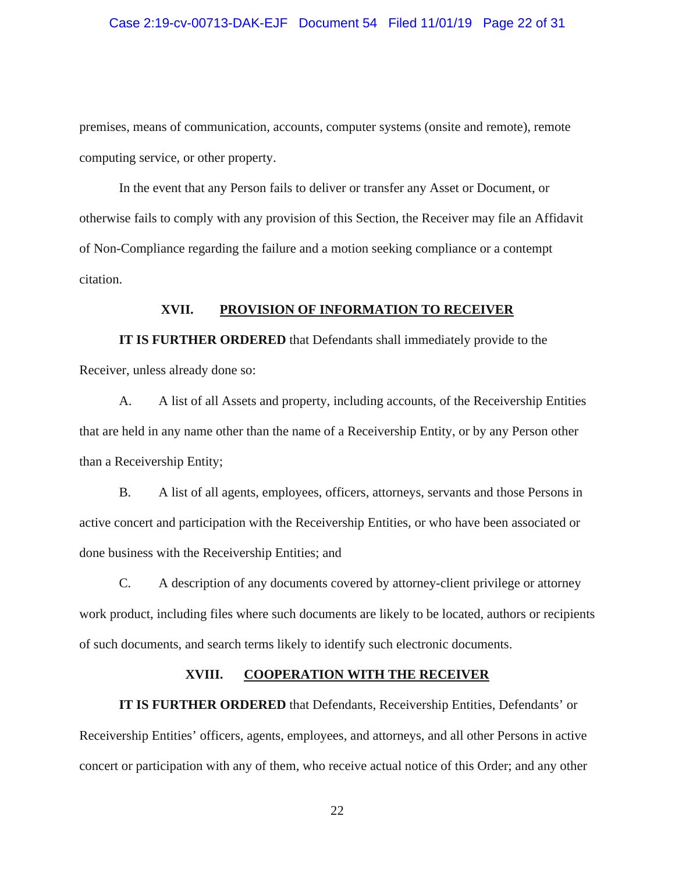### Case 2:19-cv-00713-DAK-EJF Document 54 Filed 11/01/19 Page 22 of 31

premises, means of communication, accounts, computer systems (onsite and remote), remote computing service, or other property.

In the event that any Person fails to deliver or transfer any Asset or Document, or otherwise fails to comply with any provision of this Section, the Receiver may file an Affidavit of Non-Compliance regarding the failure and a motion seeking compliance or a contempt citation.

## **XVII. PROVISION OF INFORMATION TO RECEIVER**

**IT IS FURTHER ORDERED** that Defendants shall immediately provide to the Receiver, unless already done so:

A. A list of all Assets and property, including accounts, of the Receivership Entities that are held in any name other than the name of a Receivership Entity, or by any Person other than a Receivership Entity;

B. A list of all agents, employees, officers, attorneys, servants and those Persons in active concert and participation with the Receivership Entities, or who have been associated or done business with the Receivership Entities; and

C. A description of any documents covered by attorney-client privilege or attorney work product, including files where such documents are likely to be located, authors or recipients of such documents, and search terms likely to identify such electronic documents.

## **XVIII. COOPERATION WITH THE RECEIVER**

**IT IS FURTHER ORDERED** that Defendants, Receivership Entities, Defendants' or Receivership Entities' officers, agents, employees, and attorneys, and all other Persons in active concert or participation with any of them, who receive actual notice of this Order; and any other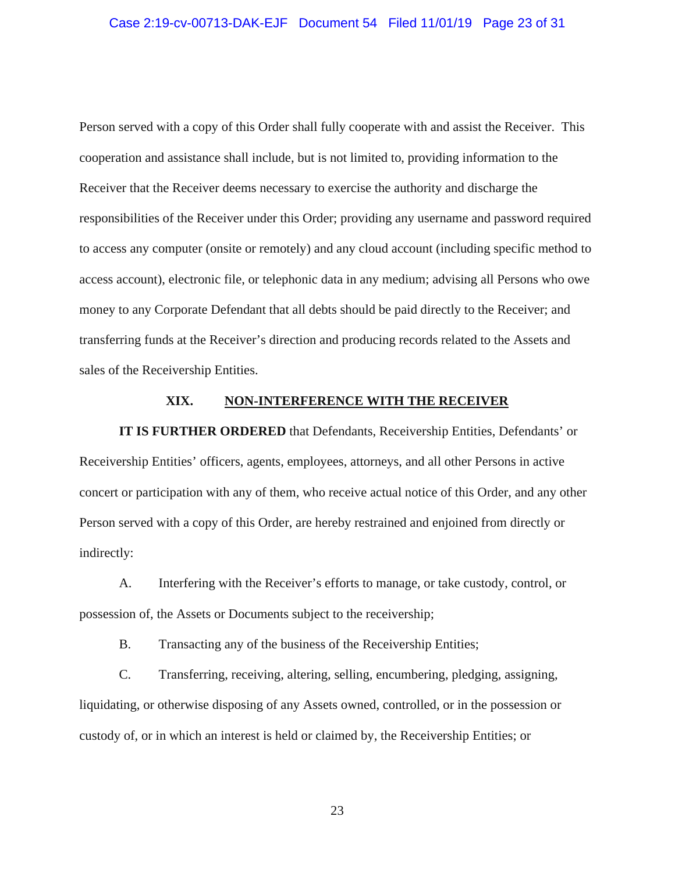### Case 2:19-cv-00713-DAK-EJF Document 54 Filed 11/01/19 Page 23 of 31

Person served with a copy of this Order shall fully cooperate with and assist the Receiver. This cooperation and assistance shall include, but is not limited to, providing information to the Receiver that the Receiver deems necessary to exercise the authority and discharge the responsibilities of the Receiver under this Order; providing any username and password required to access any computer (onsite or remotely) and any cloud account (including specific method to access account), electronic file, or telephonic data in any medium; advising all Persons who owe money to any Corporate Defendant that all debts should be paid directly to the Receiver; and transferring funds at the Receiver's direction and producing records related to the Assets and sales of the Receivership Entities.

## **XIX. NON-INTERFERENCE WITH THE RECEIVER**

**IT IS FURTHER ORDERED** that Defendants, Receivership Entities, Defendants' or Receivership Entities' officers, agents, employees, attorneys, and all other Persons in active concert or participation with any of them, who receive actual notice of this Order, and any other Person served with a copy of this Order, are hereby restrained and enjoined from directly or indirectly:

A. Interfering with the Receiver's efforts to manage, or take custody, control, or possession of, the Assets or Documents subject to the receivership;

B. Transacting any of the business of the Receivership Entities;

C. Transferring, receiving, altering, selling, encumbering, pledging, assigning, liquidating, or otherwise disposing of any Assets owned, controlled, or in the possession or custody of, or in which an interest is held or claimed by, the Receivership Entities; or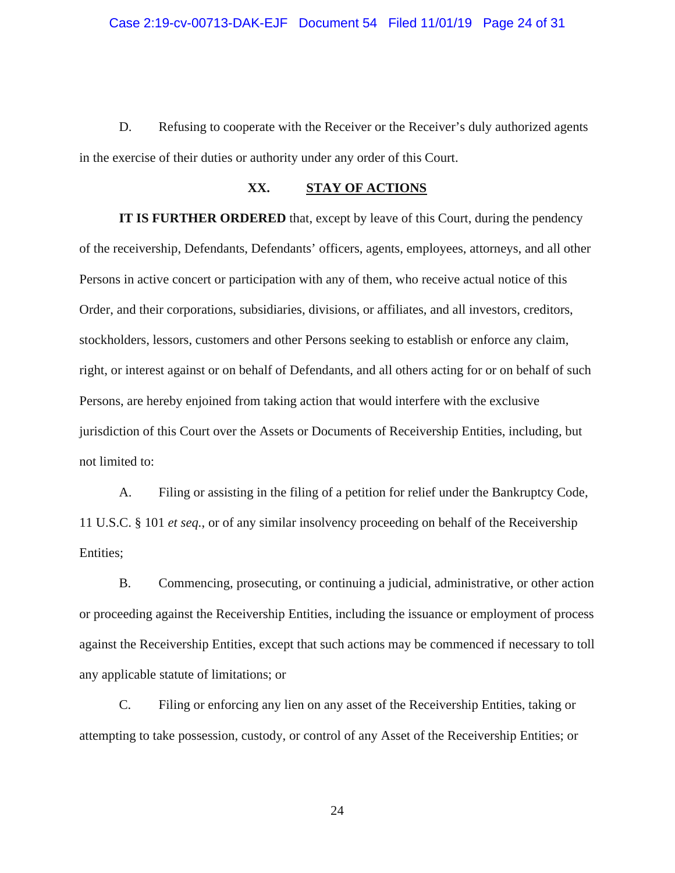D. Refusing to cooperate with the Receiver or the Receiver's duly authorized agents in the exercise of their duties or authority under any order of this Court.

## **XX. STAY OF ACTIONS**

**IT IS FURTHER ORDERED** that, except by leave of this Court, during the pendency of the receivership, Defendants, Defendants' officers, agents, employees, attorneys, and all other Persons in active concert or participation with any of them, who receive actual notice of this Order, and their corporations, subsidiaries, divisions, or affiliates, and all investors, creditors, stockholders, lessors, customers and other Persons seeking to establish or enforce any claim, right, or interest against or on behalf of Defendants, and all others acting for or on behalf of such Persons, are hereby enjoined from taking action that would interfere with the exclusive jurisdiction of this Court over the Assets or Documents of Receivership Entities, including, but not limited to:

A. Filing or assisting in the filing of a petition for relief under the Bankruptcy Code, 11 U.S.C. § 101 *et seq.*, or of any similar insolvency proceeding on behalf of the Receivership Entities;

B. Commencing, prosecuting, or continuing a judicial, administrative, or other action or proceeding against the Receivership Entities, including the issuance or employment of process against the Receivership Entities, except that such actions may be commenced if necessary to toll any applicable statute of limitations; or

C. Filing or enforcing any lien on any asset of the Receivership Entities, taking or attempting to take possession, custody, or control of any Asset of the Receivership Entities; or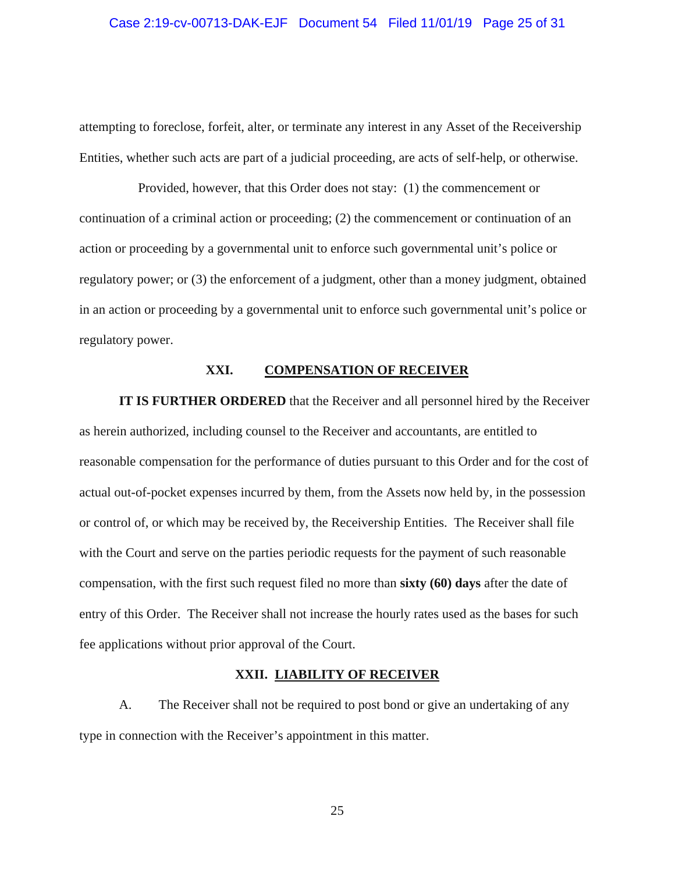# Case 2:19-cv-00713-DAK-EJF Document 54 Filed 11/01/19 Page 25 of 31

attempting to foreclose, forfeit, alter, or terminate any interest in any Asset of the Receivership Entities, whether such acts are part of a judicial proceeding, are acts of self-help, or otherwise.

Provided, however, that this Order does not stay: (1) the commencement or continuation of a criminal action or proceeding; (2) the commencement or continuation of an action or proceeding by a governmental unit to enforce such governmental unit's police or regulatory power; or (3) the enforcement of a judgment, other than a money judgment, obtained in an action or proceeding by a governmental unit to enforce such governmental unit's police or regulatory power.

## **XXI. COMPENSATION OF RECEIVER**

**IT IS FURTHER ORDERED** that the Receiver and all personnel hired by the Receiver as herein authorized, including counsel to the Receiver and accountants, are entitled to reasonable compensation for the performance of duties pursuant to this Order and for the cost of actual out-of-pocket expenses incurred by them, from the Assets now held by, in the possession or control of, or which may be received by, the Receivership Entities. The Receiver shall file with the Court and serve on the parties periodic requests for the payment of such reasonable compensation, with the first such request filed no more than **sixty (60) days** after the date of entry of this Order. The Receiver shall not increase the hourly rates used as the bases for such fee applications without prior approval of the Court.

## **XXII. LIABILITY OF RECEIVER**

A. The Receiver shall not be required to post bond or give an undertaking of any type in connection with the Receiver's appointment in this matter.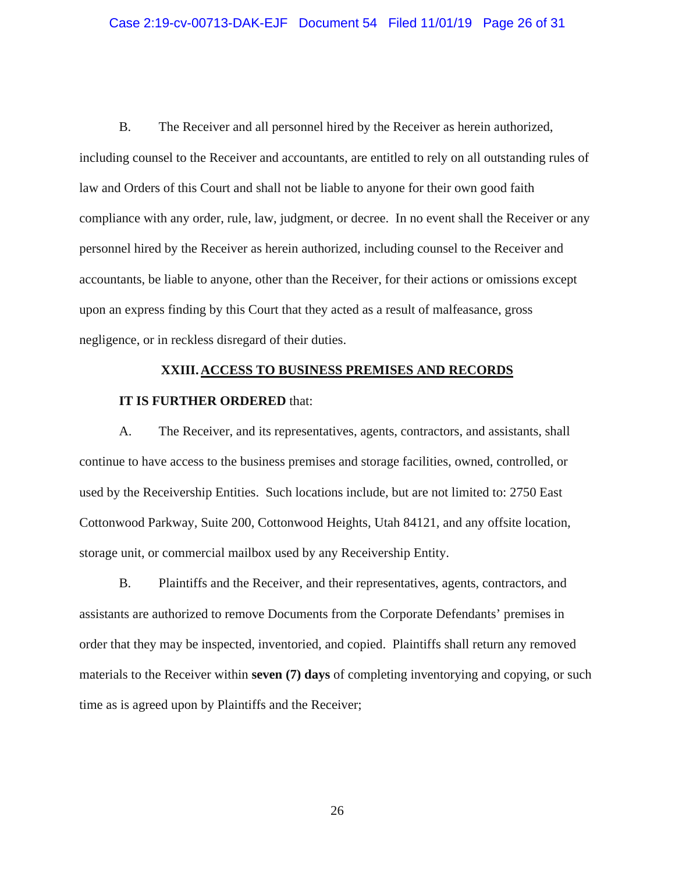### Case 2:19-cv-00713-DAK-EJF Document 54 Filed 11/01/19 Page 26 of 31

B. The Receiver and all personnel hired by the Receiver as herein authorized, including counsel to the Receiver and accountants, are entitled to rely on all outstanding rules of law and Orders of this Court and shall not be liable to anyone for their own good faith compliance with any order, rule, law, judgment, or decree. In no event shall the Receiver or any personnel hired by the Receiver as herein authorized, including counsel to the Receiver and accountants, be liable to anyone, other than the Receiver, for their actions or omissions except upon an express finding by this Court that they acted as a result of malfeasance, gross negligence, or in reckless disregard of their duties.

### **XXIII. ACCESS TO BUSINESS PREMISES AND RECORDS**

## **IT IS FURTHER ORDERED** that:

A. The Receiver, and its representatives, agents, contractors, and assistants, shall continue to have access to the business premises and storage facilities, owned, controlled, or used by the Receivership Entities. Such locations include, but are not limited to: 2750 East Cottonwood Parkway, Suite 200, Cottonwood Heights, Utah 84121, and any offsite location, storage unit, or commercial mailbox used by any Receivership Entity.

B. Plaintiffs and the Receiver, and their representatives, agents, contractors, and assistants are authorized to remove Documents from the Corporate Defendants' premises in order that they may be inspected, inventoried, and copied. Plaintiffs shall return any removed materials to the Receiver within **seven (7) days** of completing inventorying and copying, or such time as is agreed upon by Plaintiffs and the Receiver;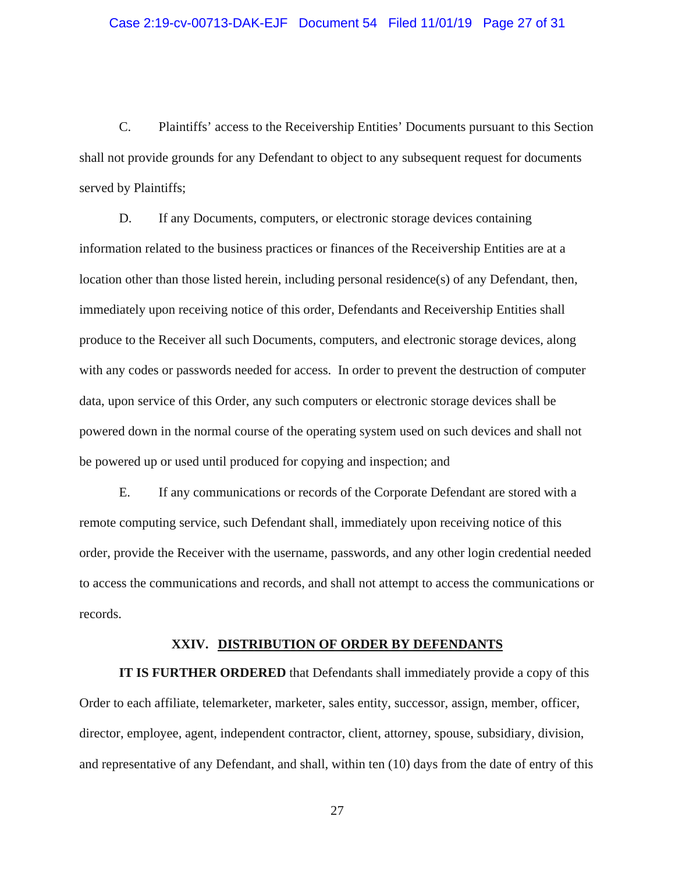### Case 2:19-cv-00713-DAK-EJF Document 54 Filed 11/01/19 Page 27 of 31

C. Plaintiffs' access to the Receivership Entities' Documents pursuant to this Section shall not provide grounds for any Defendant to object to any subsequent request for documents served by Plaintiffs;

D. If any Documents, computers, or electronic storage devices containing information related to the business practices or finances of the Receivership Entities are at a location other than those listed herein, including personal residence(s) of any Defendant, then, immediately upon receiving notice of this order, Defendants and Receivership Entities shall produce to the Receiver all such Documents, computers, and electronic storage devices, along with any codes or passwords needed for access. In order to prevent the destruction of computer data, upon service of this Order, any such computers or electronic storage devices shall be powered down in the normal course of the operating system used on such devices and shall not be powered up or used until produced for copying and inspection; and

E. If any communications or records of the Corporate Defendant are stored with a remote computing service, such Defendant shall, immediately upon receiving notice of this order, provide the Receiver with the username, passwords, and any other login credential needed to access the communications and records, and shall not attempt to access the communications or records.

## **XXIV. DISTRIBUTION OF ORDER BY DEFENDANTS**

**IT IS FURTHER ORDERED** that Defendants shall immediately provide a copy of this Order to each affiliate, telemarketer, marketer, sales entity, successor, assign, member, officer, director, employee, agent, independent contractor, client, attorney, spouse, subsidiary, division, and representative of any Defendant, and shall, within ten (10) days from the date of entry of this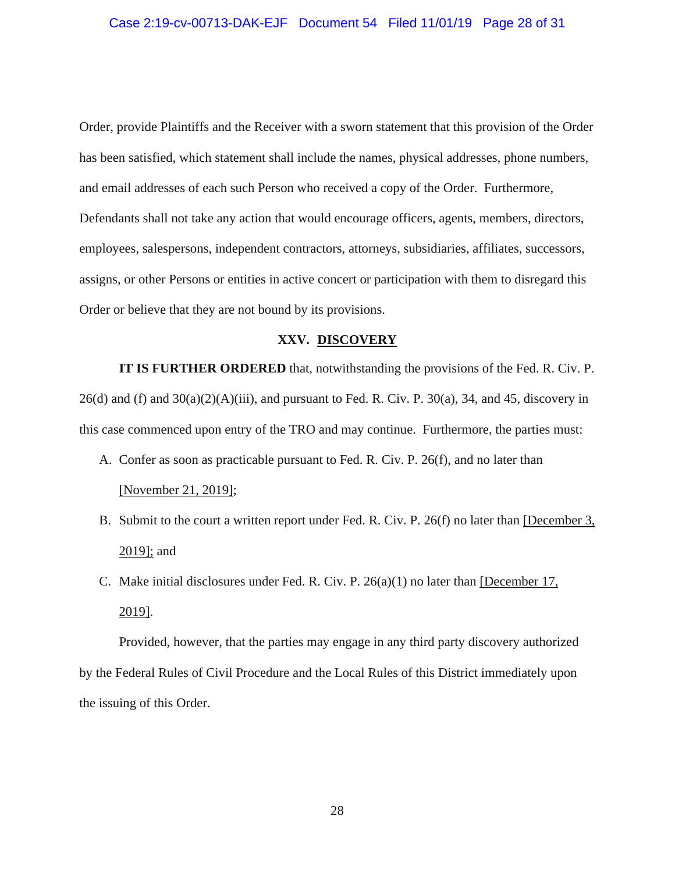Order, provide Plaintiffs and the Receiver with a sworn statement that this provision of the Order has been satisfied, which statement shall include the names, physical addresses, phone numbers, and email addresses of each such Person who received a copy of the Order. Furthermore, Defendants shall not take any action that would encourage officers, agents, members, directors, employees, salespersons, independent contractors, attorneys, subsidiaries, affiliates, successors, assigns, or other Persons or entities in active concert or participation with them to disregard this Order or believe that they are not bound by its provisions.

### **XXV. DISCOVERY**

**IT IS FURTHER ORDERED** that, notwithstanding the provisions of the Fed. R. Civ. P.  $26(d)$  and (f) and  $30(a)(2)(A)(iii)$ , and pursuant to Fed. R. Civ. P.  $30(a)$ , 34, and 45, discovery in this case commenced upon entry of the TRO and may continue. Furthermore, the parties must:

- A. Confer as soon as practicable pursuant to Fed. R. Civ. P. 26(f), and no later than [November 21, 2019];
- B. Submit to the court a written report under Fed. R. Civ. P. 26(f) no later than [December 3, 2019]; and
- C. Make initial disclosures under Fed. R. Civ. P. 26(a)(1) no later than [December 17, 2019].

Provided, however, that the parties may engage in any third party discovery authorized by the Federal Rules of Civil Procedure and the Local Rules of this District immediately upon the issuing of this Order.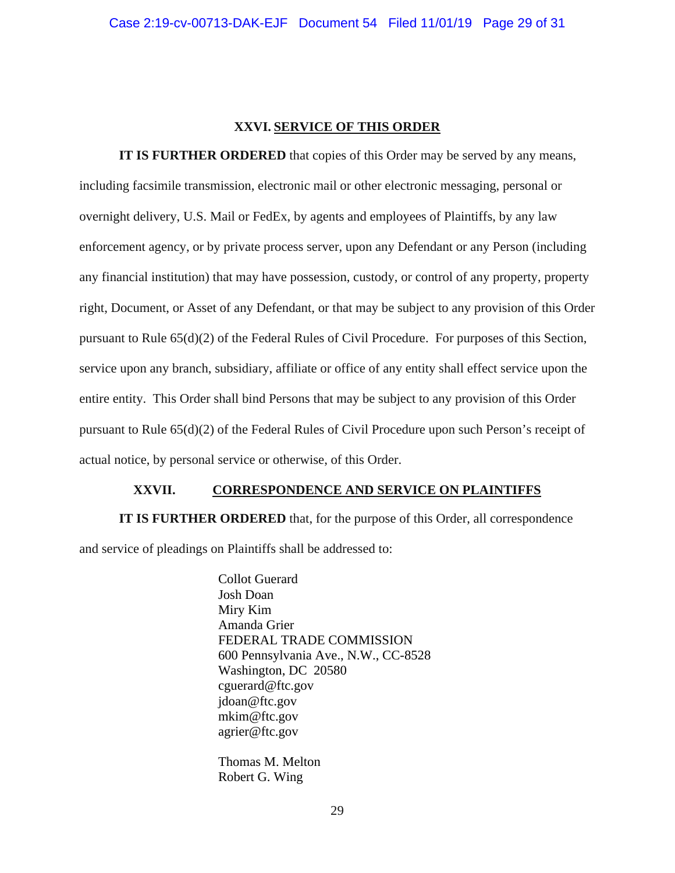## **XXVI. SERVICE OF THIS ORDER**

**IT IS FURTHER ORDERED** that copies of this Order may be served by any means, including facsimile transmission, electronic mail or other electronic messaging, personal or overnight delivery, U.S. Mail or FedEx, by agents and employees of Plaintiffs, by any law enforcement agency, or by private process server, upon any Defendant or any Person (including any financial institution) that may have possession, custody, or control of any property, property right, Document, or Asset of any Defendant, or that may be subject to any provision of this Order pursuant to Rule 65(d)(2) of the Federal Rules of Civil Procedure. For purposes of this Section, service upon any branch, subsidiary, affiliate or office of any entity shall effect service upon the entire entity. This Order shall bind Persons that may be subject to any provision of this Order pursuant to Rule 65(d)(2) of the Federal Rules of Civil Procedure upon such Person's receipt of actual notice, by personal service or otherwise, of this Order.

## **XXVII. CORRESPONDENCE AND SERVICE ON PLAINTIFFS**

**IT IS FURTHER ORDERED** that, for the purpose of this Order, all correspondence and service of pleadings on Plaintiffs shall be addressed to:

> Collot Guerard Josh Doan Miry Kim Amanda Grier FEDERAL TRADE COMMISSION 600 Pennsylvania Ave., N.W., CC-8528 Washington, DC 20580 cguerard@ftc.gov jdoan@ftc.gov mkim@ftc.gov agrier@ftc.gov

Thomas M. Melton Robert G. Wing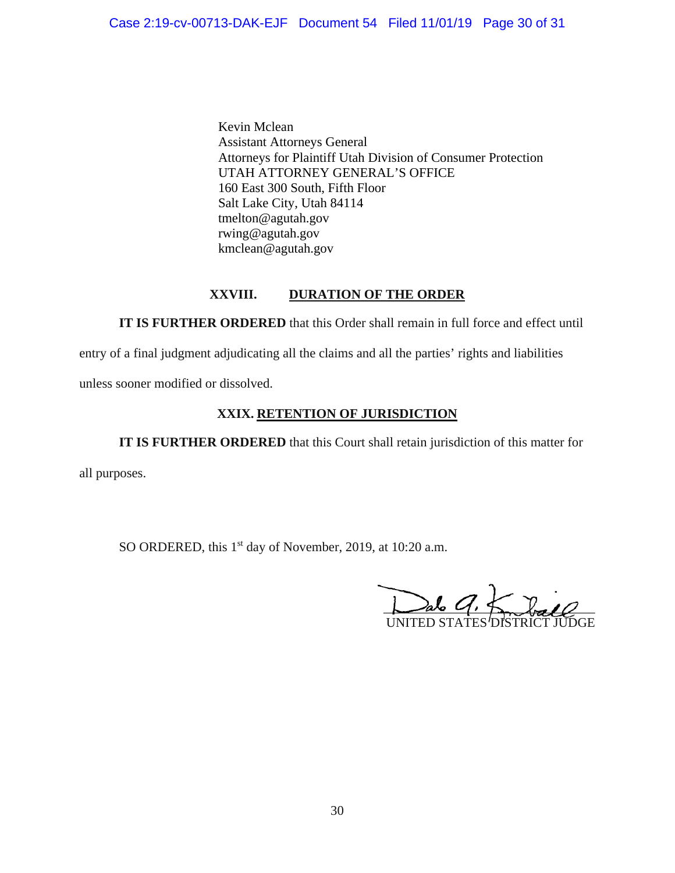Kevin Mclean Assistant Attorneys General Attorneys for Plaintiff Utah Division of Consumer Protection UTAH ATTORNEY GENERAL'S OFFICE 160 East 300 South, Fifth Floor Salt Lake City, Utah 84114 tmelton@agutah.gov rwing@agutah.gov kmclean@agutah.gov

# **XXVIII. DURATION OF THE ORDER**

**IT IS FURTHER ORDERED** that this Order shall remain in full force and effect until

entry of a final judgment adjudicating all the claims and all the parties' rights and liabilities

unless sooner modified or dissolved.

# **XXIX. RETENTION OF JURISDICTION**

**IT IS FURTHER ORDERED** that this Court shall retain jurisdiction of this matter for

all purposes.

SO ORDERED, this 1<sup>st</sup> day of November, 2019, at 10:20 a.m.

 $\sum_{\alpha} l_{\alpha}$ UNITED STATES *'*DISTRIC